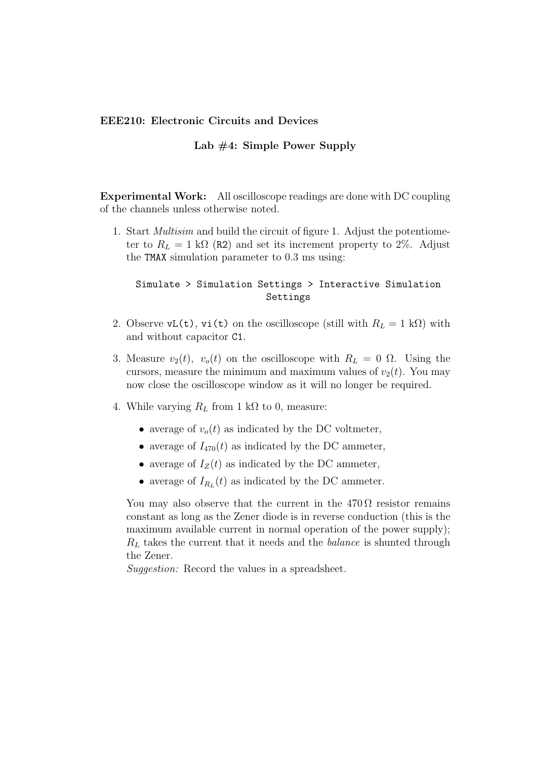## **EEE210: Electronic Circuits and Devices**

## **Lab #4: Simple Power Supply**

**Experimental Work:** All oscilloscope readings are done with DC coupling of the channels unless otherwise noted.

1. Start *Multisim* and build the circuit of figure 1. Adjust the potentiometer to  $R_L = 1 \text{ k}\Omega$  (R2) and set its increment property to 2%. Adjust the TMAX simulation parameter to 0.3 ms using:

## Simulate > Simulation Settings > Interactive Simulation Settings

- 2. Observe  $vL(t)$ ,  $vi(t)$  on the oscilloscope (still with  $R_L = 1$  kΩ) with and without capacitor C1.
- 3. Measure  $v_2(t)$ ,  $v_0(t)$  on the oscilloscope with  $R_L = 0 \Omega$ . Using the cursors, measure the minimum and maximum values of  $v_2(t)$ . You may now close the oscilloscope window as it will no longer be required.
- 4. While varying  $R_L$  from 1 kΩ to 0, measure:
	- average of  $v_o(t)$  as indicated by the DC voltmeter,
	- average of  $I_{470}(t)$  as indicated by the DC ammeter,
	- average of  $I_Z(t)$  as indicated by the DC ammeter,
	- average of  $I_{R_L}(t)$  as indicated by the DC ammeter.

You may also observe that the current in the  $470\Omega$  resistor remains constant as long as the Zener diode is in reverse conduction (this is the maximum available current in normal operation of the power supply); *R<sup>L</sup>* takes the current that it needs and the *balance* is shunted through the Zener.

*Suggestion:* Record the values in a spreadsheet.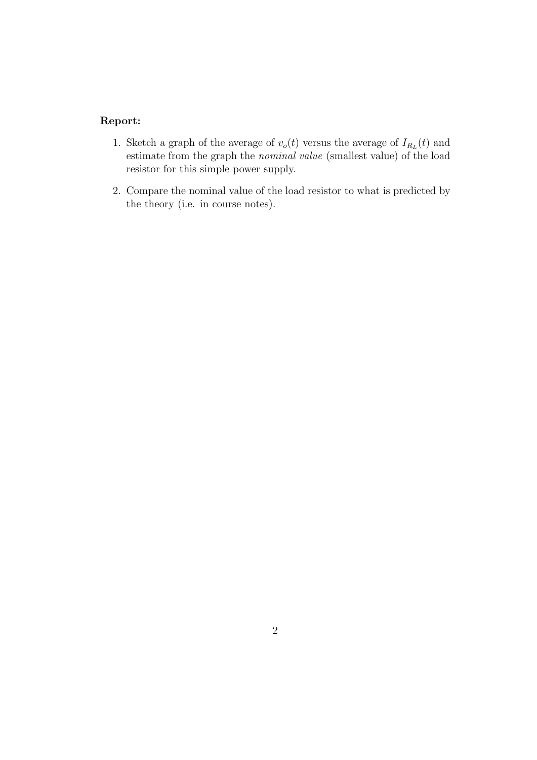## **Report:**

- 1. Sketch a graph of the average of  $v_o(t)$  versus the average of  $I_{R_L}(t)$  and estimate from the graph the *nominal value* (smallest value) of the load resistor for this simple power supply.
- 2. Compare the nominal value of the load resistor to what is predicted by the theory (i.e. in course notes).